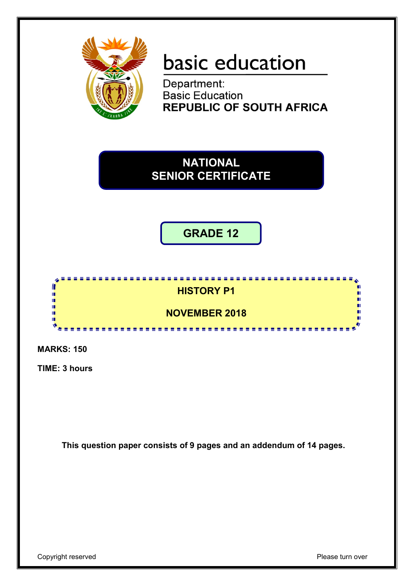

# basic education

Department: Basic Education **REPUBLIC OF SOUTH AFRICA** 

**NATIONAL SENIOR CERTIFICATE**

**GRADE 12**



**MARKS: 150**

**TIME: 3 hours**

**This question paper consists of 9 pages and an addendum of 14 pages.**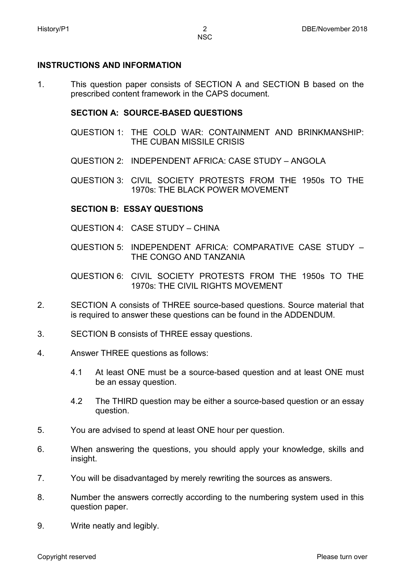# **INSTRUCTIONS AND INFORMATION**

1. This question paper consists of SECTION A and SECTION B based on the prescribed content framework in the CAPS document.

# **SECTION A: SOURCE-BASED QUESTIONS**

- QUESTION 1: THE COLD WAR: CONTAINMENT AND BRINKMANSHIP: THE CUBAN MISSILE CRISIS
- QUESTION 2: INDEPENDENT AFRICA: CASE STUDY ANGOLA
- QUESTION 3: CIVIL SOCIETY PROTESTS FROM THE 1950s TO THE 1970s: THE BLACK POWER MOVEMENT

# **SECTION B: ESSAY QUESTIONS**

- QUESTION 4: CASE STUDY CHINA
- QUESTION 5: INDEPENDENT AFRICA: COMPARATIVE CASE STUDY THE CONGO AND TANZANIA
- QUESTION 6: CIVIL SOCIETY PROTESTS FROM THE 1950s TO THE 1970s: THE CIVIL RIGHTS MOVEMENT
- $\mathcal{P}$ SECTION A consists of THREE source-based questions. Source material that is required to answer these questions can be found in the ADDENDUM.
- 3. SECTION B consists of THREE essay questions.
- 4. Answer THREE questions as follows:
	- 4.1 At least ONE must be a source-based question and at least ONE must be an essay question.
	- 4.2 The THIRD question may be either a source-based question or an essay question.
- 5. You are advised to spend at least ONE hour per question.
- 6. When answering the questions, you should apply your knowledge, skills and insight.
- 7. You will be disadvantaged by merely rewriting the sources as answers.
- 8. Number the answers correctly according to the numbering system used in this question paper.
- 9. Write neatly and legibly.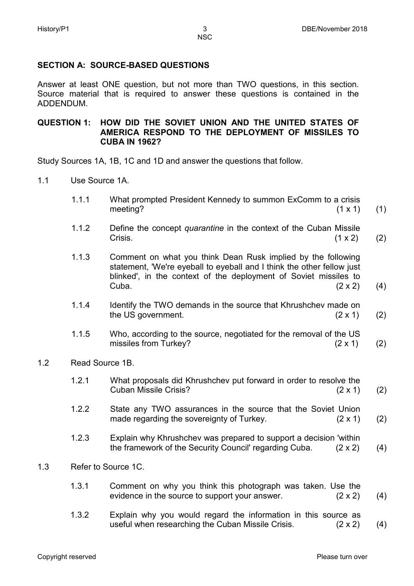# **SECTION A: SOURCE-BASED QUESTIONS**

Answer at least ONE question, but not more than TWO questions, in this section. Source material that is required to answer these questions is contained in the ADDENDUM.

#### **QUESTION 1: HOW DID THE SOVIET UNION AND THE UNITED STATES OF AMERICA RESPOND TO THE DEPLOYMENT OF MISSILES TO CUBA IN 1962?**

Study Sources 1A, 1B, 1C and 1D and answer the questions that follow.

- 1.1 Use Source 1A.
	- 1.1.1 What prompted President Kennedy to summon ExComm to a crisis meeting?  $(1 \times 1)$ (1)
	- 1.1.2 Define the concept *quarantine* in the context of the Cuban Missile Crisis.  $(1 \times 2)$ (2)
	- 1.1.3 Comment on what you think Dean Rusk implied by the following statement, 'We're eyeball to eyeball and I think the other fellow just blinked', in the context of the deployment of Soviet missiles to Cuba.  $(2 \times 2)$ Cuba.  $(2 \times 2)$ (4)
	- 1.1.4 Identify the TWO demands in the source that Khrushchev made on the US government.  $(2 \times 1)$ (2)
	- 1.1.5 Who, according to the source, negotiated for the removal of the US missiles from Turkey? (2 x 1) (2)
- 1.2 Read Source 1B.
	- 1.2.1 What proposals did Khrushchev put forward in order to resolve the Cuban Missile Crisis? (2 x 1) (2)
	- 1.2.2 State any TWO assurances in the source that the Soviet Union made regarding the sovereignty of Turkey.  $(2 \times 1)$ (2)
	- 1.2.3 Explain why Khrushchev was prepared to support a decision 'within the framework of the Security Council' regarding Cuba. (2 x 2) (4)
- 1.3 Refer to Source 1C.
	- 1.3.1 Comment on why you think this photograph was taken. Use the evidence in the source to support your answer. (2 x 2) (4)
	- 1.3.2 Explain why you would regard the information in this source as useful when researching the Cuban Missile Crisis. (2 x 2) (4)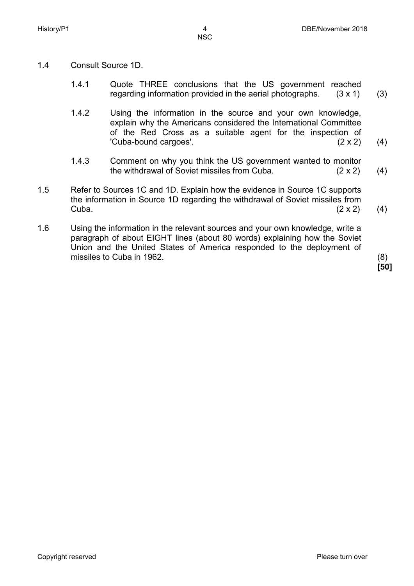- 
- 1.4 Consult Source 1D.
	- 1.4.1 Quote THREE conclusions that the US government reached regarding information provided in the aerial photographs. (3 x 1) (3)
	- 142 Using the information in the source and your own knowledge, explain why the Americans considered the International Committee of the Red Cross as a suitable agent for the inspection of 'Cuba-bound cargoes'. (2 x 2) (4)
	- 1.4.3 Comment on why you think the US government wanted to monitor the withdrawal of Soviet missiles from Cuba. (2 x 2) (4)
- 1.5 Refer to Sources 1C and 1D. Explain how the evidence in Source 1C supports the information in Source 1D regarding the withdrawal of Soviet missiles from Cuba.  $(2 \times 2)$  (4)
- 1.6 Using the information in the relevant sources and your own knowledge, write a paragraph of about EIGHT lines (about 80 words) explaining how the Soviet Union and the United States of America responded to the deployment of missiles to Cuba in 1962.

**[50]**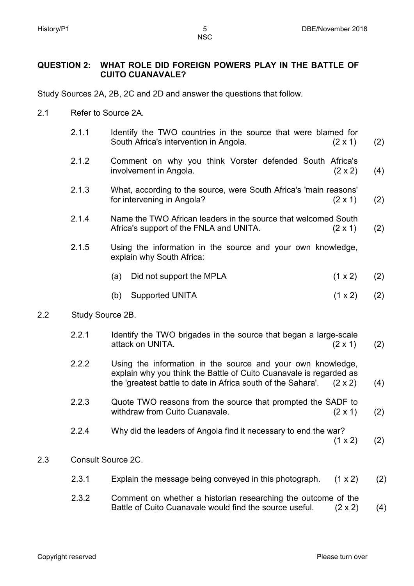**NSC** 

## **QUESTION 2: WHAT ROLE DID FOREIGN POWERS PLAY IN THE BATTLE OF CUITO CUANAVALE?**

Study Sources 2A, 2B, 2C and 2D and answer the questions that follow.

- 2.1 Refer to Source 2A.
	- 2.1.1 Identify the TWO countries in the source that were blamed for South Africa's intervention in Angola. (2 x 1) (2)
	- 2.12 Comment on why you think Vorster defended South Africa's involvement in Angola. (2 x 2) (4)
	- 2.1.3 What, according to the source, were South Africa's 'main reasons' for intervening in Angola? (2 x 1) (2)
	- 2.1.4 Name the TWO African leaders in the source that welcomed South Africa's support of the FNLA and UNITA. (2 x 1) (2)
	- 2.1.5 Using the information in the source and your own knowledge, explain why South Africa:
		- (a) Did not support the MPLA  $(1 \times 2)$ (2)
		- (b) Supported UNITA (1 x 2) (2)

#### 2.2 Study Source 2B.

- 2.2.1 Identify the TWO brigades in the source that began a large-scale attack on UNITA. (2 x 1) (2)
- 2.2 Using the information in the source and your own knowledge, explain why you think the Battle of Cuito Cuanavale is regarded as the 'greatest battle to date in Africa south of the Sahara'. (2 x 2) (4)
- 2.2.3 Quote TWO reasons from the source that prompted the SADF to withdraw from Cuito Cuanavale. (2 x 1) (2)
- 2.2.4 Why did the leaders of Angola find it necessary to end the war?

 $(1 \times 2)$ (2)

#### 2.3 Consult Source 2C.

- 2.3.1 Explain the message being conveyed in this photograph.  $(1 \times 2)$ (2)
- 2.3.2 Comment on whether a historian researching the outcome of the Battle of Cuito Cuanavale would find the source useful. (2 x 2) (4)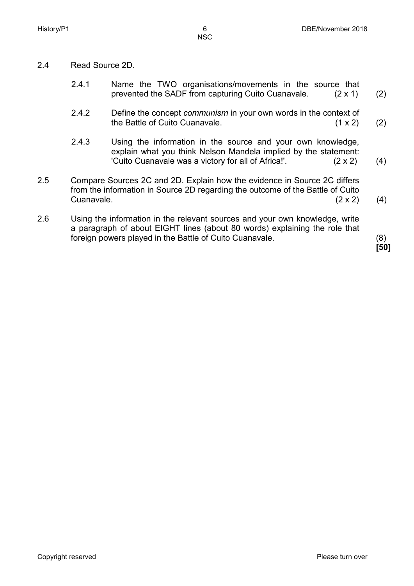- 
- 2.4 Read Source 2D.
	- 2.4.1 Name the TWO organisations/movements in the source that prevented the SADF from capturing Cuito Cuanavale. (2 x 1) (2)
	- 2.42 Define the concept *communism* in your own words in the context of the Battle of Cuito Cuanavale. (1 x 2) (2)
	- 2.4.3 Using the information in the source and your own knowledge, explain what you think Nelson Mandela implied by the statement: 'Cuito Cuanavale was a victory for all of Africa!'. (2 x 2) (4)
- 2.5 Compare Sources 2C and 2D. Explain how the evidence in Source 2C differs from the information in Source 2D regarding the outcome of the Battle of Cuito Cuanavale.  $(2 \times 2)$  (4)
- 2.6 Using the information in the relevant sources and your own knowledge, write a paragraph of about EIGHT lines (about 80 words) explaining the role that foreign powers played in the Battle of Cuito Cuanavale. (8)

**[50]**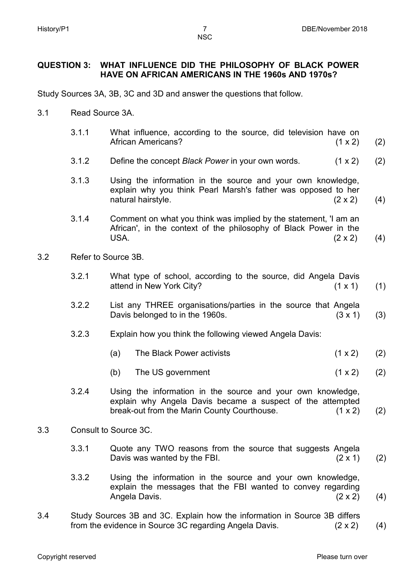**NSC** 

## **QUESTION 3: WHAT INFLUENCE DID THE PHILOSOPHY OF BLACK POWER HAVE ON AFRICAN AMERICANS IN THE 1960s AND 1970s?**

Study Sources 3A, 3B, 3C and 3D and answer the questions that follow.

- 3.1 Read Source 3A.
- 3.1.1 3.1.2 3.1.3 3.1.4 What influence, according to the source, did television have on African Americans? (1 x 2) Define the concept *Black Power* in your own words. (1 x 2) Using the information in the source and your own knowledge, explain why you think Pearl Marsh's father was opposed to her natural hairstyle. (2 x 2) Comment on what you think was implied by the statement, 'I am an African', in the context of the philosophy of Black Power in the USA.  $(2 \times 2)$ (2) (2) (4) (4) 3.2 Refer to Source 3B. 3.2.1 3.2.2 3.2.3 3.2.4 What type of school, according to the source, did Angela Davis attend in New York City? (1 x 1) List any THREE organisations/parties in the source that Angela Davis belonged to in the 1960s. (3 x 1) Explain how you think the following viewed Angela Davis: (a) The Black Power activists (1 x 2) (b) The US government  $(1 \times 2)$ Using the information in the source and your own knowledge, explain why Angela Davis became a suspect of the attempted break-out from the Marin County Courthouse. (1 x 2) (1) (3) (2) (2) (2) 3.3 Consult to Source 3C. 3.3.1 Quote any TWO reasons from the source that suggests Angela Davis was wanted by the FBI.  $(2 \times 1)$ (2)
	- 3.3.2 Using the information in the source and your own knowledge, explain the messages that the FBI wanted to convey regarding Angela Davis. (2 x 2) (4)
- 3.4 Study Sources 3B and 3C. Explain how the information in Source 3B differs from the evidence in Source 3C regarding Angela Davis. (2 x 2) (4)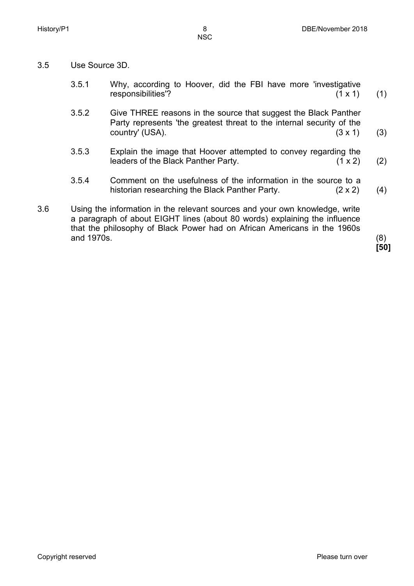- 3.5 Use Source 3D.
	- 3.5.1 Why, according to Hoover, did the FBI have more 'investigative responsibilities'? (1 x 1) (1)
	- 3.5.2 Give THREE reasons in the source that suggest the Black Panther Party represents 'the greatest threat to the internal security of the country' (USA).  $(3 \times 1)$ (3)
	- 3.5.3 Explain the image that Hoover attempted to convey regarding the leaders of the Black Panther Party. (1 x 2) (2)
	- 3.5.4 Comment on the usefulness of the information in the source to a historian researching the Black Panther Party. (2 x 2) (4)
- 3.6 Using the information in the relevant sources and your own knowledge, write a paragraph of about EIGHT lines (about 80 words) explaining the influence that the philosophy of Black Power had on African Americans in the 1960s and 1970s. (8)

**[50]**